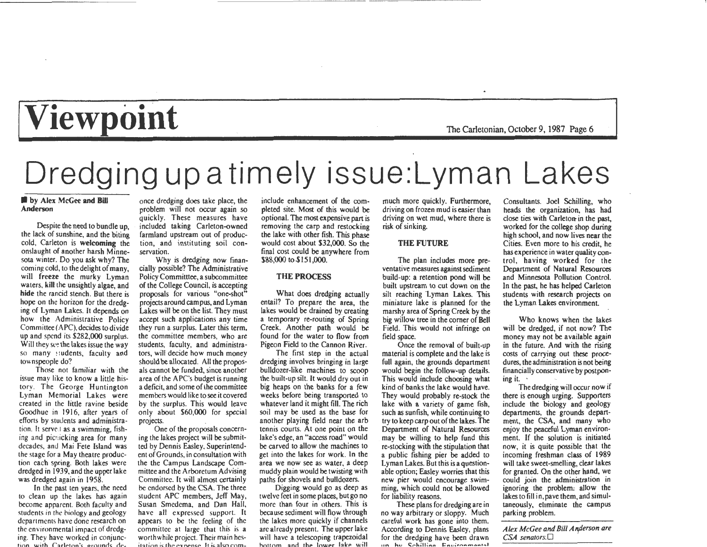# **Viewpoint** The Carletonian, October 9, 1987 Page 6

## Dredging up a timely issue:Lyman Lakes

### **by Alex McGee and Bill** Anderson

Despite the need to bundle up, the lack of sunshine, and the biting cold, Carleton is welcoming the onslaught of another harsh Minnesota winter. Do you ask why? The coming cold, to the delight of many, will freeze the murky Lyman waters, kill the unsightly algae, and hide the rancid stench. But there is hope on the horizon for the dredging of Lyman Lakes. It depends on how the Administrative Policy Committee (APC), decides to divide up and spend its \$282,000 surplus. Will they see the lakes issue the way so many students, faculty and townspeople do?

Those not familiar with the issue may like to know a little history. The George Huntington Lyman Memorial Lakes were created in the little ravine beside Goodhue in 1916, after years of efforts by students and administration. It serve 1 as a swimming, fishing and picnicking area for many decades, and Mai Fete Island was the stage for a May theatre production each spring. Both lakes were dredged in 1939, and the upper lake was dredged again in 1958.

In the past ten years, the need to clean up the lakes has again beco me apparent. Both faculty and students in the biology and geology departments have done research on the environmental impact of dredging. They have worked in conjunc tion with Carleton's grounds deonce dredging does take place, the problem will not occur again so quickly. These measures have included taking Carleton-owned farmland upstream out of production, and instituting soil conservation.

Why is dredging now financially possible? The Administrative Policy Committtee, a subcommittee of the College Council, is accepting proposals for various "one-shot" projects around campus, and Lyman Lakes will be on the list. They must accept such applications any time they run a surplus. Later this term, the committee members, who are students, faculty, and administrators, will decide how much money should be allocated. All the proposals cannot be funded, since another area of the APC's budget is running a deficit, and some of the committee members would like to see it covered by the surplus. This would leave only about \$60,000 for special projects.

One of the proposals concerning the lakes project will be submitted by Dennis Easley. Superintendent of Grounds, in consultation with the the Campus Landscape Committee and the Arboretum Advising Committee. It will almost certainly be endorsed by the CSA. The three student APC members, Jeff May, Susan Smedema. and Dan Hall, have all expressed support. It appears to be the feeling of the committee at large that this is a worthwhile project. Their main hes- $\frac{1}{2}$  itation is the expense. It is also cominclude enhancement of the com-

pleted site. Most of this would be<br>optional. The most expensive part is<br>removing the carp and restocking<br>the lake with other fish. This phase<br>would cost about \$32,000. So the<br>final cost could be anywhere from<br>\$88,000 to \$1

soil may be used as the base for another playing field near the arb tennis courts. At one point on the lake's edge, an "access road" would be carved to allow the machines to get into the lakes for work. In the area we now see as water, a deep muddy plain would be twisting with paths for shovels and bulldozers.

Digging would go as deep as twelve feet in some places, but go no more than four in others. This is because sediment will flow through the lakes more quickly if channels are already present. The upper lake will have a telescoping trapezoidal ottom and the lower lake will

much more quickly. Furthermore, driving on frozen mud is easier than driving on wet mud, where there is risk of sinking.

## THE FUTURE

The plan includes more preventative measures against sediment build-up: a retention pond will be built upstream to cut down on the silt reaching 'Lyman Lakes. This miniature lake is planned for the marshy area of Spring Creek by the big willow tree in the corner of Bell Field. This would not infringe on field space.

Once the removal of built-up material is complete and the lake is full again, the grounds department would begin the follow-up details. This would include choosing what kind of banks the lake would have. They would probably re-stock the lake with a variety of game fish, such as sunfish, while continuing to try to keep carp out of the lakes. The Department of Natural Resources may be willing to help fund this re-stocking with the stipulation that a public fishing pier be added to Lyman Lakes. But this is a questionable option; Easley worries that this new pier would encourage swimming, which could not be allowed for liability reasons.

These plans for dredging are in no way arbitrary or sloppy. Much careful work has gone into them. According to Dennis Easley, plans for the dredging have been drawn **11n hu C:: r h ;ll;n,., t:'n u; ,.,.,. .., ......** 

Consultants. Joel Schilling, who heads the organization, has had close ties with Carleton- in the past, worked for the college shop during high school, and now lives near the Cities. Even more to his credit, he has experience in water quality control, having worked for the Department of Natural Resources and Minnesota Pollution Control. In the past, he has helped Carleton students with research projects on the Lyman Lakes environment.

Who knows when the lakes will be dredged, if not now? The money may not be available again in the future. And with the rising costs of carrying out these procedures, the administration is not being financially conservative by postponing it.

The dredging will occur now if there is enough urging. Supporters include the biology and geology departments, the grounds department, the CSA, and many who enjoy the peaceful Lyman environment. If the solution is initiated now, it is quite possible that the incoming freshman class of 1989 will take sweet-smelling, clear lakes for granted. On the other hand, we could join the administration in ignoring the problem: allow the lakes to fill in, pave them, and simultaneously, eliminate the campus parking problem.

*A lex McGee and Bill A n,derson are CSA senators.O*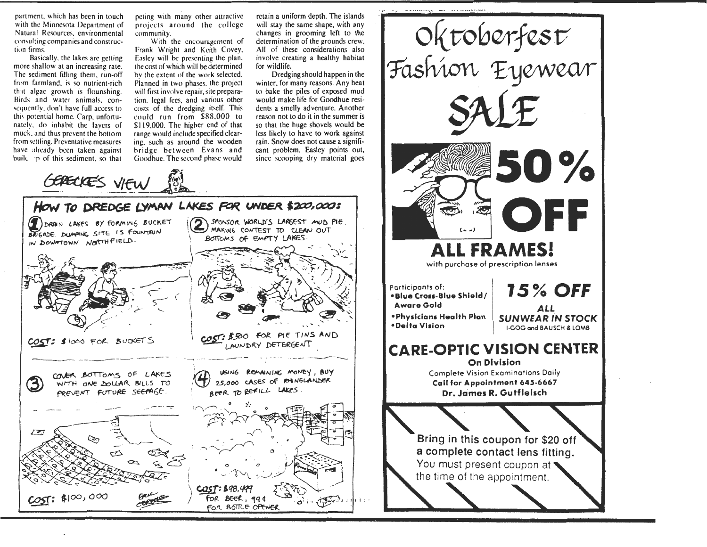partment, which has been in touch with the Minnesota Department of Natural Resources, environmental consulting companies and construction firms.

Basically, the lakes are getting more shallow at an increasing rate. The sediment filling them, run-off from farmland, is so nutrient-rich that algac growth is flourishing. Birds and water animals, consequently, don't have full access to this potential home. Carp, unfortunately, do inhabit the layers of muck, and thus prevent the bottom from settling. Preventative measures have already been taken against build in of this sediment, so that

peting with many other attractive projects around the college community.

With the encouragement of Frank Wright and Keith Covey. Easley will be presenting the plan, the cost of which will be determined by the extent of the work selected. Planned in two phases, the project will first involve repair, site preparation, legal fees, and various other costs of the dredging itself. This could run from \$88,000 to \$119,000. The higher end of that range would include specified clearing, such as around the wooden bridge between Evans and Goodhue. The second phase would

retain a uniform depth. The islands will stay the same shape, with any changes in grooming left to the determination of the grounds crew. All of these considerations also involve creating a healthy habitat for wildlife.

Dredging should happen in the winter, for many reasons. Any heat to bake the piles of exposed mud would make life for Goodhue residents a smelly adventure. Another reason not to do it in the summer is so that the huge shovels would be less likely to have to work against rain. Snow does not cause a significant problem, Easley points out, since scooping dry material goes